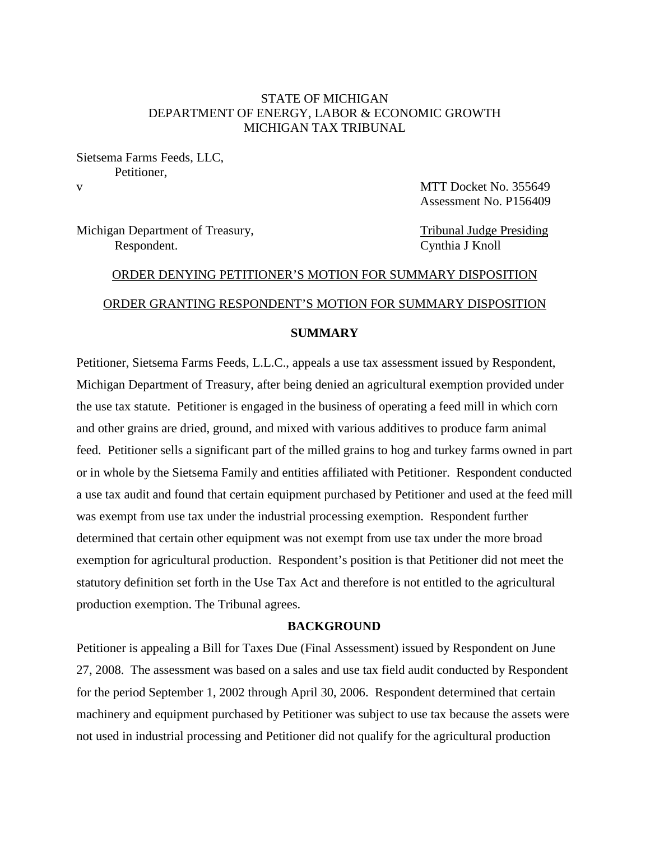# STATE OF MICHIGAN DEPARTMENT OF ENERGY, LABOR & ECONOMIC GROWTH MICHIGAN TAX TRIBUNAL

Sietsema Farms Feeds, LLC, Petitioner,

v and the state of the state of the MTT Docket No. 355649 Assessment No. P156409

Michigan Department of Treasury, Tribunal Judge Presiding Respondent. Cynthia J Knoll

# ORDER DENYING PETITIONER'S MOTION FOR SUMMARY DISPOSITION ORDER GRANTING RESPONDENT'S MOTION FOR SUMMARY DISPOSITION

# **SUMMARY**

Petitioner, Sietsema Farms Feeds, L.L.C., appeals a use tax assessment issued by Respondent, Michigan Department of Treasury, after being denied an agricultural exemption provided under the use tax statute. Petitioner is engaged in the business of operating a feed mill in which corn and other grains are dried, ground, and mixed with various additives to produce farm animal feed. Petitioner sells a significant part of the milled grains to hog and turkey farms owned in part or in whole by the Sietsema Family and entities affiliated with Petitioner. Respondent conducted a use tax audit and found that certain equipment purchased by Petitioner and used at the feed mill was exempt from use tax under the industrial processing exemption. Respondent further determined that certain other equipment was not exempt from use tax under the more broad exemption for agricultural production. Respondent's position is that Petitioner did not meet the statutory definition set forth in the Use Tax Act and therefore is not entitled to the agricultural production exemption. The Tribunal agrees.

# **BACKGROUND**

Petitioner is appealing a Bill for Taxes Due (Final Assessment) issued by Respondent on June 27, 2008. The assessment was based on a sales and use tax field audit conducted by Respondent for the period September 1, 2002 through April 30, 2006. Respondent determined that certain machinery and equipment purchased by Petitioner was subject to use tax because the assets were not used in industrial processing and Petitioner did not qualify for the agricultural production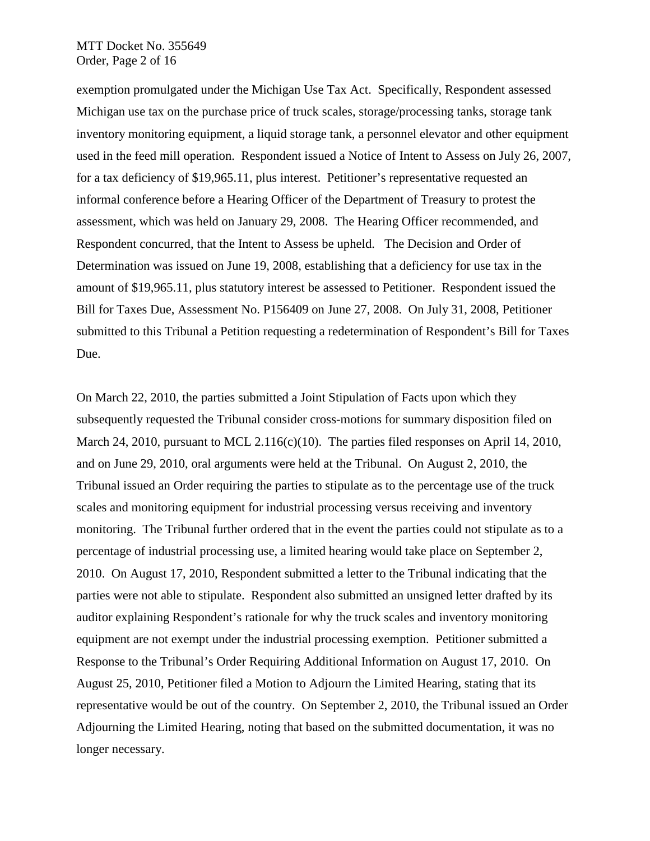#### MTT Docket No. 355649 Order, Page 2 of 16

exemption promulgated under the Michigan Use Tax Act. Specifically, Respondent assessed Michigan use tax on the purchase price of truck scales, storage/processing tanks, storage tank inventory monitoring equipment, a liquid storage tank, a personnel elevator and other equipment used in the feed mill operation. Respondent issued a Notice of Intent to Assess on July 26, 2007, for a tax deficiency of \$19,965.11, plus interest. Petitioner's representative requested an informal conference before a Hearing Officer of the Department of Treasury to protest the assessment, which was held on January 29, 2008. The Hearing Officer recommended, and Respondent concurred, that the Intent to Assess be upheld. The Decision and Order of Determination was issued on June 19, 2008, establishing that a deficiency for use tax in the amount of \$19,965.11, plus statutory interest be assessed to Petitioner. Respondent issued the Bill for Taxes Due, Assessment No. P156409 on June 27, 2008. On July 31, 2008, Petitioner submitted to this Tribunal a Petition requesting a redetermination of Respondent's Bill for Taxes Due.

On March 22, 2010, the parties submitted a Joint Stipulation of Facts upon which they subsequently requested the Tribunal consider cross-motions for summary disposition filed on March 24, 2010, pursuant to MCL 2.116(c)(10). The parties filed responses on April 14, 2010, and on June 29, 2010, oral arguments were held at the Tribunal. On August 2, 2010, the Tribunal issued an Order requiring the parties to stipulate as to the percentage use of the truck scales and monitoring equipment for industrial processing versus receiving and inventory monitoring. The Tribunal further ordered that in the event the parties could not stipulate as to a percentage of industrial processing use, a limited hearing would take place on September 2, 2010. On August 17, 2010, Respondent submitted a letter to the Tribunal indicating that the parties were not able to stipulate. Respondent also submitted an unsigned letter drafted by its auditor explaining Respondent's rationale for why the truck scales and inventory monitoring equipment are not exempt under the industrial processing exemption. Petitioner submitted a Response to the Tribunal's Order Requiring Additional Information on August 17, 2010. On August 25, 2010, Petitioner filed a Motion to Adjourn the Limited Hearing, stating that its representative would be out of the country. On September 2, 2010, the Tribunal issued an Order Adjourning the Limited Hearing, noting that based on the submitted documentation, it was no longer necessary.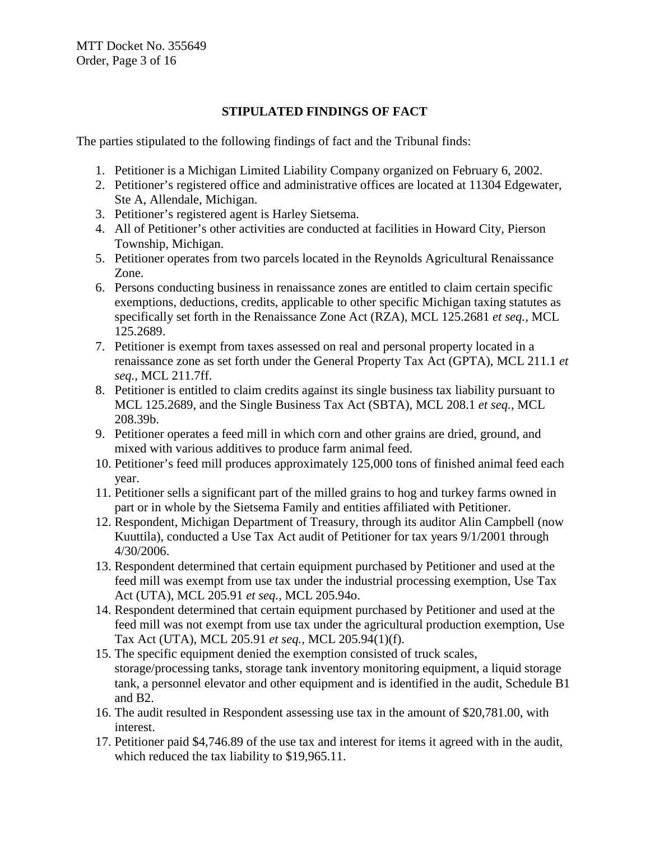# **STIPULATED FINDINGS OF FACT**

The parties stipulated to the following findings of fact and the Tribunal finds:

- 1. Petitioner is a Michigan Limited Liability Company organized on February 6, 2002.
- 2. Petitioner's registered office and administrative offices are located at 11304 Edgewater, Ste A, Allendale, Michigan.
- 3. Petitioner's registered agent is Harley Sietsema.
- 4. All of Petitioner's other activities are conducted at facilities in Howard City, Pierson Township, Michigan.
- 5. Petitioner operates from two parcels located in the Reynolds Agricultural Renaissance Zone.
- 6. Persons conducting business in renaissance zones are entitled to claim certain specific exemptions, deductions, credits, applicable to other specific Michigan taxing statutes as specifically set forth in the Renaissance Zone Act (RZA), MCL 125.2681 *et seq.,* MCL 125.2689.
- 7. Petitioner is exempt from taxes assessed on real and personal property located in a renaissance zone as set forth under the General Property Tax Act (GPTA), MCL 211.1 *et seq.,* MCL 211.7ff.
- 8. Petitioner is entitled to claim credits against its single business tax liability pursuant to MCL 125.2689, and the Single Business Tax Act (SBTA), MCL 208.1 *et seq.,* MCL 208.39b.
- 9. Petitioner operates a feed mill in which corn and other grains are dried, ground, and mixed with various additives to produce farm animal feed.
- 10. Petitioner's feed mill produces approximately 125,000 tons of finished animal feed each year.
- 11. Petitioner sells a significant part of the milled grains to hog and turkey farms owned in part or in whole by the Sietsema Family and entities affiliated with Petitioner.
- 12. Respondent, Michigan Department of Treasury, through its auditor Alin Campbell (now Kuuttila), conducted a Use Tax Act audit of Petitioner for tax years 9/1/2001 through 4/30/2006.
- 13. Respondent determined that certain equipment purchased by Petitioner and used at the feed mill was exempt from use tax under the industrial processing exemption, Use Tax Act (UTA), MCL 205.91 *et seq.,* MCL 205.94o.
- 14. Respondent determined that certain equipment purchased by Petitioner and used at the feed mill was not exempt from use tax under the agricultural production exemption, Use Tax Act (UTA), MCL 205.91 *et seq.,* MCL 205.94(1)(f).
- 15. The specific equipment denied the exemption consisted of truck scales, storage/processing tanks, storage tank inventory monitoring equipment, a liquid storage tank, a personnel elevator and other equipment and is identified in the audit, Schedule B1 and B2.
- 16. The audit resulted in Respondent assessing use tax in the amount of \$20,781.00, with interest.
- 17. Petitioner paid \$4,746.89 of the use tax and interest for items it agreed with in the audit, which reduced the tax liability to \$19,965.11.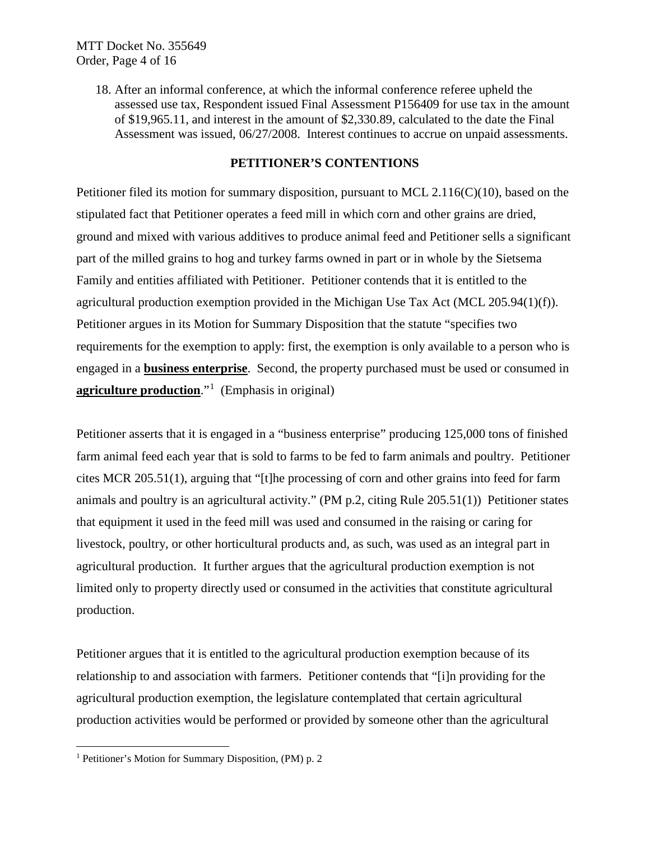18. After an informal conference, at which the informal conference referee upheld the assessed use tax, Respondent issued Final Assessment P156409 for use tax in the amount of \$19,965.11, and interest in the amount of \$2,330.89, calculated to the date the Final Assessment was issued, 06/27/2008. Interest continues to accrue on unpaid assessments.

# **PETITIONER'S CONTENTIONS**

Petitioner filed its motion for summary disposition, pursuant to MCL 2.116(C)(10), based on the stipulated fact that Petitioner operates a feed mill in which corn and other grains are dried, ground and mixed with various additives to produce animal feed and Petitioner sells a significant part of the milled grains to hog and turkey farms owned in part or in whole by the Sietsema Family and entities affiliated with Petitioner. Petitioner contends that it is entitled to the agricultural production exemption provided in the Michigan Use Tax Act (MCL 205.94(1)(f)). Petitioner argues in its Motion for Summary Disposition that the statute "specifies two requirements for the exemption to apply: first, the exemption is only available to a person who is engaged in a **business enterprise**. Second, the property purchased must be used or consumed in **agriculture production**."[1](#page-3-0) (Emphasis in original)

Petitioner asserts that it is engaged in a "business enterprise" producing 125,000 tons of finished farm animal feed each year that is sold to farms to be fed to farm animals and poultry. Petitioner cites MCR 205.51(1), arguing that "[t]he processing of corn and other grains into feed for farm animals and poultry is an agricultural activity." (PM p.2, citing Rule 205.51(1)) Petitioner states that equipment it used in the feed mill was used and consumed in the raising or caring for livestock, poultry, or other horticultural products and, as such, was used as an integral part in agricultural production. It further argues that the agricultural production exemption is not limited only to property directly used or consumed in the activities that constitute agricultural production.

Petitioner argues that it is entitled to the agricultural production exemption because of its relationship to and association with farmers. Petitioner contends that "[i]n providing for the agricultural production exemption, the legislature contemplated that certain agricultural production activities would be performed or provided by someone other than the agricultural

<span id="page-3-0"></span> <sup>1</sup> Petitioner's Motion for Summary Disposition, (PM) p. 2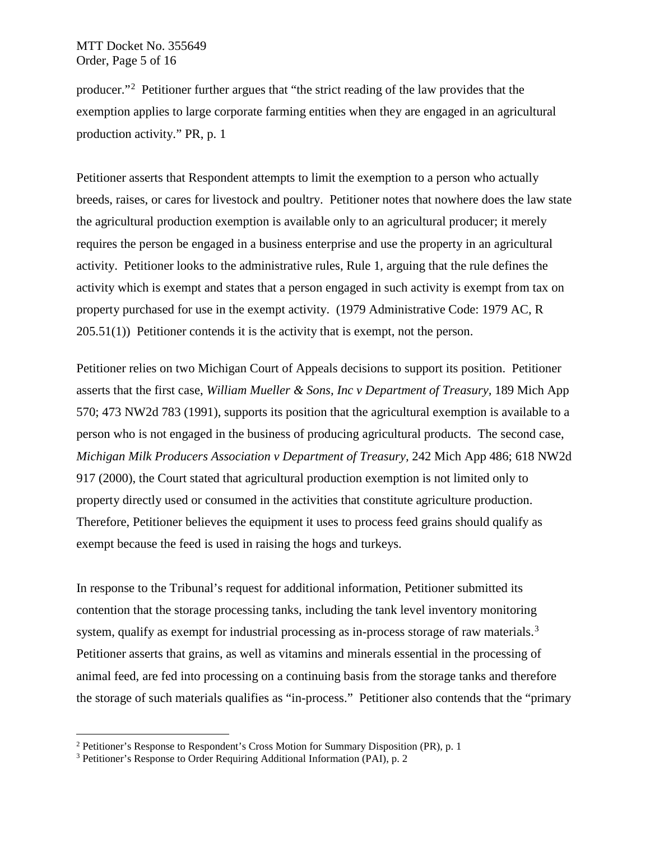## MTT Docket No. 355649 Order, Page 5 of 16

producer."<sup>[2](#page-4-0)</sup> Petitioner further argues that "the strict reading of the law provides that the exemption applies to large corporate farming entities when they are engaged in an agricultural production activity." PR, p. 1

Petitioner asserts that Respondent attempts to limit the exemption to a person who actually breeds, raises, or cares for livestock and poultry. Petitioner notes that nowhere does the law state the agricultural production exemption is available only to an agricultural producer; it merely requires the person be engaged in a business enterprise and use the property in an agricultural activity. Petitioner looks to the administrative rules, Rule 1, arguing that the rule defines the activity which is exempt and states that a person engaged in such activity is exempt from tax on property purchased for use in the exempt activity. (1979 Administrative Code: 1979 AC, R 205.51(1)) Petitioner contends it is the activity that is exempt, not the person.

Petitioner relies on two Michigan Court of Appeals decisions to support its position. Petitioner asserts that the first case, *William Mueller & Sons, Inc v Department of Treasury,* 189 Mich App 570; 473 NW2d 783 (1991), supports its position that the agricultural exemption is available to a person who is not engaged in the business of producing agricultural products. The second case, *Michigan Milk Producers Association v Department of Treasury,* 242 Mich App 486; 618 NW2d 917 (2000), the Court stated that agricultural production exemption is not limited only to property directly used or consumed in the activities that constitute agriculture production. Therefore, Petitioner believes the equipment it uses to process feed grains should qualify as exempt because the feed is used in raising the hogs and turkeys.

In response to the Tribunal's request for additional information, Petitioner submitted its contention that the storage processing tanks, including the tank level inventory monitoring system, qualify as exempt for industrial processing as in-process storage of raw materials.<sup>[3](#page-4-1)</sup> Petitioner asserts that grains, as well as vitamins and minerals essential in the processing of animal feed, are fed into processing on a continuing basis from the storage tanks and therefore the storage of such materials qualifies as "in-process." Petitioner also contends that the "primary

<span id="page-4-0"></span> <sup>2</sup> Petitioner's Response to Respondent's Cross Motion for Summary Disposition (PR), p. 1

<span id="page-4-1"></span><sup>3</sup> Petitioner's Response to Order Requiring Additional Information (PAI), p. 2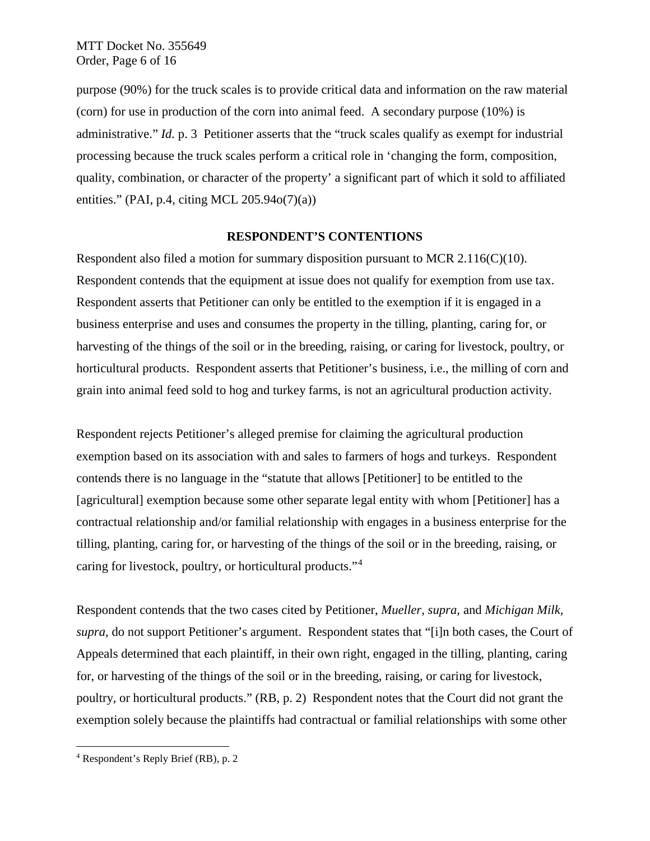purpose (90%) for the truck scales is to provide critical data and information on the raw material (corn) for use in production of the corn into animal feed. A secondary purpose (10%) is administrative." *Id.* p. 3 Petitioner asserts that the "truck scales qualify as exempt for industrial processing because the truck scales perform a critical role in 'changing the form, composition, quality, combination, or character of the property' a significant part of which it sold to affiliated entities." (PAI, p.4, citing MCL  $205.94o(7)(a)$ )

#### **RESPONDENT'S CONTENTIONS**

Respondent also filed a motion for summary disposition pursuant to MCR 2.116(C)(10). Respondent contends that the equipment at issue does not qualify for exemption from use tax. Respondent asserts that Petitioner can only be entitled to the exemption if it is engaged in a business enterprise and uses and consumes the property in the tilling, planting, caring for, or harvesting of the things of the soil or in the breeding, raising, or caring for livestock, poultry, or horticultural products. Respondent asserts that Petitioner's business, i.e., the milling of corn and grain into animal feed sold to hog and turkey farms, is not an agricultural production activity.

Respondent rejects Petitioner's alleged premise for claiming the agricultural production exemption based on its association with and sales to farmers of hogs and turkeys. Respondent contends there is no language in the "statute that allows [Petitioner] to be entitled to the [agricultural] exemption because some other separate legal entity with whom [Petitioner] has a contractual relationship and/or familial relationship with engages in a business enterprise for the tilling, planting, caring for, or harvesting of the things of the soil or in the breeding, raising, or caring for livestock, poultry, or horticultural products."[4](#page-5-0)

Respondent contends that the two cases cited by Petitioner, *Mueller, supra,* and *Michigan Milk, supra,* do not support Petitioner's argument. Respondent states that "[i]n both cases, the Court of Appeals determined that each plaintiff, in their own right, engaged in the tilling, planting, caring for, or harvesting of the things of the soil or in the breeding, raising, or caring for livestock, poultry, or horticultural products." (RB, p. 2) Respondent notes that the Court did not grant the exemption solely because the plaintiffs had contractual or familial relationships with some other

<span id="page-5-0"></span> <sup>4</sup> Respondent's Reply Brief (RB), p. 2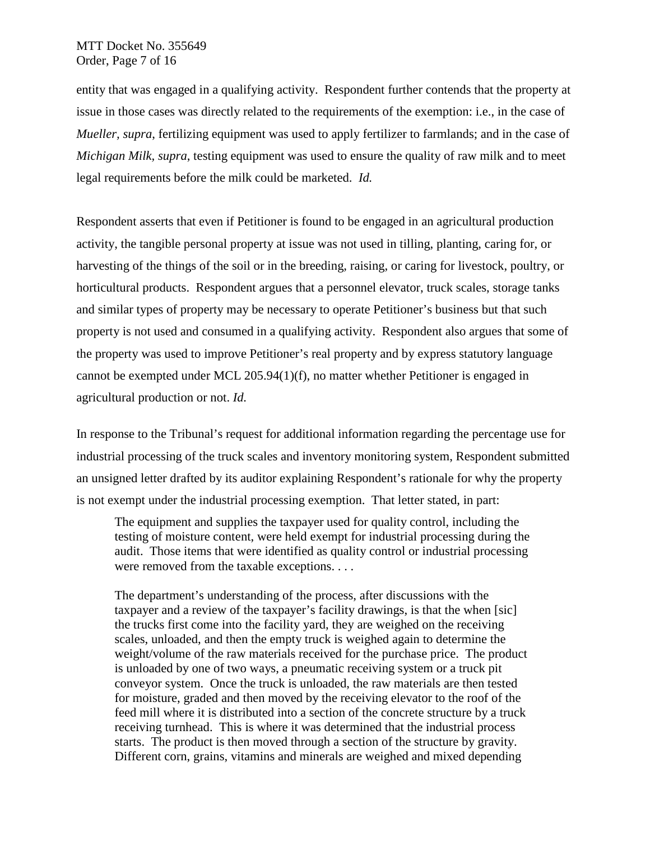## MTT Docket No. 355649 Order, Page 7 of 16

entity that was engaged in a qualifying activity. Respondent further contends that the property at issue in those cases was directly related to the requirements of the exemption: i.e., in the case of *Mueller, supra*, fertilizing equipment was used to apply fertilizer to farmlands; and in the case of *Michigan Milk, supra*, testing equipment was used to ensure the quality of raw milk and to meet legal requirements before the milk could be marketed. *Id.*

Respondent asserts that even if Petitioner is found to be engaged in an agricultural production activity, the tangible personal property at issue was not used in tilling, planting, caring for, or harvesting of the things of the soil or in the breeding, raising, or caring for livestock, poultry, or horticultural products. Respondent argues that a personnel elevator, truck scales, storage tanks and similar types of property may be necessary to operate Petitioner's business but that such property is not used and consumed in a qualifying activity. Respondent also argues that some of the property was used to improve Petitioner's real property and by express statutory language cannot be exempted under MCL 205.94(1)(f), no matter whether Petitioner is engaged in agricultural production or not. *Id.*

In response to the Tribunal's request for additional information regarding the percentage use for industrial processing of the truck scales and inventory monitoring system, Respondent submitted an unsigned letter drafted by its auditor explaining Respondent's rationale for why the property is not exempt under the industrial processing exemption. That letter stated, in part:

The equipment and supplies the taxpayer used for quality control, including the testing of moisture content, were held exempt for industrial processing during the audit. Those items that were identified as quality control or industrial processing were removed from the taxable exceptions. . . .

The department's understanding of the process, after discussions with the taxpayer and a review of the taxpayer's facility drawings, is that the when [sic] the trucks first come into the facility yard, they are weighed on the receiving scales, unloaded, and then the empty truck is weighed again to determine the weight/volume of the raw materials received for the purchase price. The product is unloaded by one of two ways, a pneumatic receiving system or a truck pit conveyor system. Once the truck is unloaded, the raw materials are then tested for moisture, graded and then moved by the receiving elevator to the roof of the feed mill where it is distributed into a section of the concrete structure by a truck receiving turnhead. This is where it was determined that the industrial process starts. The product is then moved through a section of the structure by gravity. Different corn, grains, vitamins and minerals are weighed and mixed depending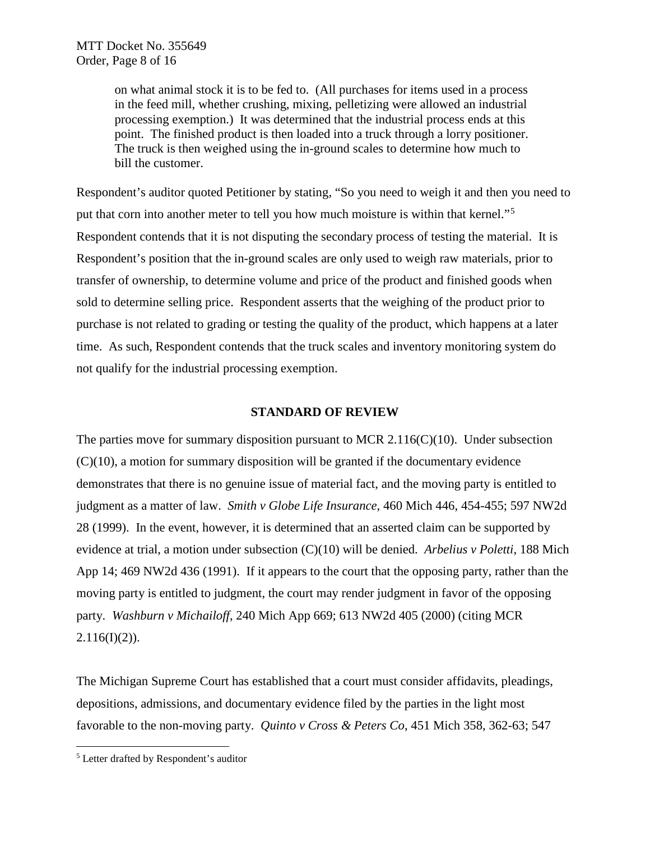on what animal stock it is to be fed to. (All purchases for items used in a process in the feed mill, whether crushing, mixing, pelletizing were allowed an industrial processing exemption.) It was determined that the industrial process ends at this point. The finished product is then loaded into a truck through a lorry positioner. The truck is then weighed using the in-ground scales to determine how much to bill the customer.

Respondent's auditor quoted Petitioner by stating, "So you need to weigh it and then you need to put that corn into another meter to tell you how much moisture is within that kernel."<sup>[5](#page-7-0)</sup> Respondent contends that it is not disputing the secondary process of testing the material. It is Respondent's position that the in-ground scales are only used to weigh raw materials, prior to transfer of ownership, to determine volume and price of the product and finished goods when sold to determine selling price. Respondent asserts that the weighing of the product prior to purchase is not related to grading or testing the quality of the product, which happens at a later time. As such, Respondent contends that the truck scales and inventory monitoring system do not qualify for the industrial processing exemption.

## **STANDARD OF REVIEW**

The parties move for summary disposition pursuant to MCR 2.116(C)(10). Under subsection  $(C)(10)$ , a motion for summary disposition will be granted if the documentary evidence demonstrates that there is no genuine issue of material fact, and the moving party is entitled to judgment as a matter of law. *Smith v Globe Life Insurance*, 460 Mich 446, 454-455; 597 NW2d 28 (1999). In the event, however, it is determined that an asserted claim can be supported by evidence at trial, a motion under subsection (C)(10) will be denied. *Arbelius v Poletti*, 188 Mich App 14; 469 NW2d 436 (1991). If it appears to the court that the opposing party, rather than the moving party is entitled to judgment, the court may render judgment in favor of the opposing party. *Washburn v Michailoff*, 240 Mich App 669; 613 NW2d 405 (2000) (citing MCR  $2.116(I)(2)$ ).

The Michigan Supreme Court has established that a court must consider affidavits, pleadings, depositions, admissions, and documentary evidence filed by the parties in the light most favorable to the non-moving party. *Quinto v Cross & Peters Co*, 451 Mich 358, 362-63; 547

<span id="page-7-0"></span> <sup>5</sup> Letter drafted by Respondent's auditor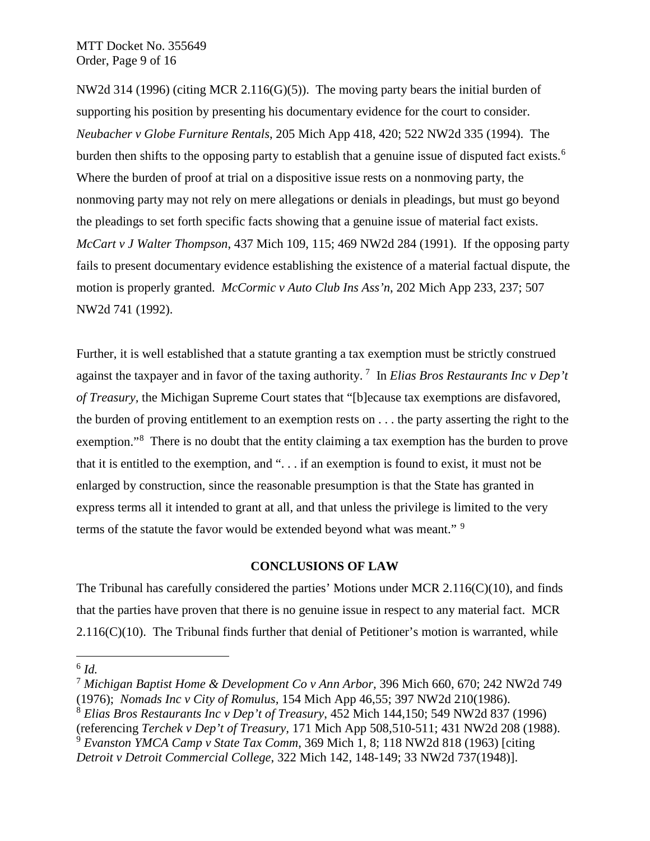NW2d 314 (1996) (citing MCR 2.116(G)(5)).The moving party bears the initial burden of supporting his position by presenting his documentary evidence for the court to consider. *Neubacher v Globe Furniture Rentals*, 205 Mich App 418, 420; 522 NW2d 335 (1994). The burden then shifts to the opposing party to establish that a genuine issue of disputed fact exists.<sup>[6](#page-8-0)</sup> Where the burden of proof at trial on a dispositive issue rests on a nonmoving party, the nonmoving party may not rely on mere allegations or denials in pleadings, but must go beyond the pleadings to set forth specific facts showing that a genuine issue of material fact exists. *McCart v J Walter Thompson*, 437 Mich 109, 115; 469 NW2d 284 (1991). If the opposing party fails to present documentary evidence establishing the existence of a material factual dispute, the motion is properly granted. *McCormic v Auto Club Ins Ass'n*, 202 Mich App 233, 237; 507 NW2d 741 (1992).

Further, it is well established that a statute granting a tax exemption must be strictly construed against the taxpayer and in favor of the taxing authority. [7](#page-8-1) In *Elias Bros Restaurants Inc v Dep't of Treasury,* the Michigan Supreme Court states that "[b]ecause tax exemptions are disfavored, the burden of proving entitlement to an exemption rests on . . . the party asserting the right to the exemption."<sup>[8](#page-8-2)</sup> There is no doubt that the entity claiming a tax exemption has the burden to prove that it is entitled to the exemption, and ". . . if an exemption is found to exist, it must not be enlarged by construction, since the reasonable presumption is that the State has granted in express terms all it intended to grant at all, and that unless the privilege is limited to the very terms of the statute the favor would be extended beyond what was meant." <sup>[9](#page-8-3)</sup>

## **CONCLUSIONS OF LAW**

The Tribunal has carefully considered the parties' Motions under MCR  $2.116(C)(10)$ , and finds that the parties have proven that there is no genuine issue in respect to any material fact. MCR  $2.116(C)(10)$ . The Tribunal finds further that denial of Petitioner's motion is warranted, while

<span id="page-8-0"></span> $^6$  *Id.* 

<span id="page-8-1"></span><sup>7</sup> *Michigan Baptist Home & Development Co v Ann Arbor,* 396 Mich 660, 670; 242 NW2d 749 (1976); *Nomads Inc v City of Romulus,* 154 Mich App 46,55; 397 NW2d 210(1986).

<span id="page-8-2"></span><sup>8</sup> *Elias Bros Restaurants Inc v Dep't of Treasury*, 452 Mich 144,150; 549 NW2d 837 (1996) (referencing *Terchek v Dep't of Treasury,* 171 Mich App 508,510-511; 431 NW2d 208 (1988). <sup>9</sup> *Evanston YMCA Camp v State Tax Comm*, 369 Mich 1, 8; 118 NW2d 818 (1963) [citing

<span id="page-8-3"></span>*Detroit v Detroit Commercial College*, 322 Mich 142, 148-149; 33 NW2d 737(1948)].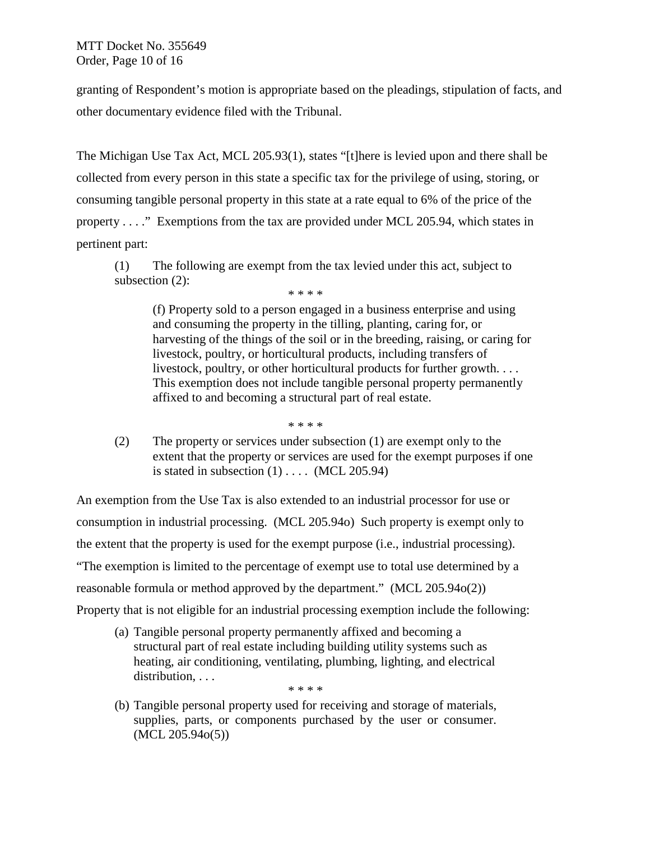MTT Docket No. 355649 Order, Page 10 of 16

granting of Respondent's motion is appropriate based on the pleadings, stipulation of facts, and other documentary evidence filed with the Tribunal.

The Michigan Use Tax Act, MCL 205.93(1), states "[t]here is levied upon and there shall be collected from every person in this state a specific tax for the privilege of using, storing, or consuming tangible personal property in this state at a rate equal to 6% of the price of the property . . . ." Exemptions from the tax are provided under MCL 205.94, which states in pertinent part:

(1) The following are exempt from the tax levied under this act, subject to subsection (2):

\* \* \* \*

(f) Property sold to a person engaged in a business enterprise and using and consuming the property in the tilling, planting, caring for, or harvesting of the things of the soil or in the breeding, raising, or caring for livestock, poultry, or horticultural products, including transfers of livestock, poultry, or other horticultural products for further growth. . . . This exemption does not include tangible personal property permanently affixed to and becoming a structural part of real estate.

\* \* \* \*

(2) The property or services under subsection (1) are exempt only to the extent that the property or services are used for the exempt purposes if one is stated in subsection  $(1)$ .... (MCL 205.94)

An exemption from the Use Tax is also extended to an industrial processor for use or consumption in industrial processing. (MCL 205.94o) Such property is exempt only to the extent that the property is used for the exempt purpose (i.e., industrial processing). "The exemption is limited to the percentage of exempt use to total use determined by a reasonable formula or method approved by the department." (MCL 205.94o(2)) Property that is not eligible for an industrial processing exemption include the following:

(a) Tangible personal property permanently affixed and becoming a structural part of real estate including building utility systems such as heating, air conditioning, ventilating, plumbing, lighting, and electrical distribution, ... \* \* \* \*

(b) Tangible personal property used for receiving and storage of materials, supplies, parts, or components purchased by the user or consumer. (MCL 205.94o(5))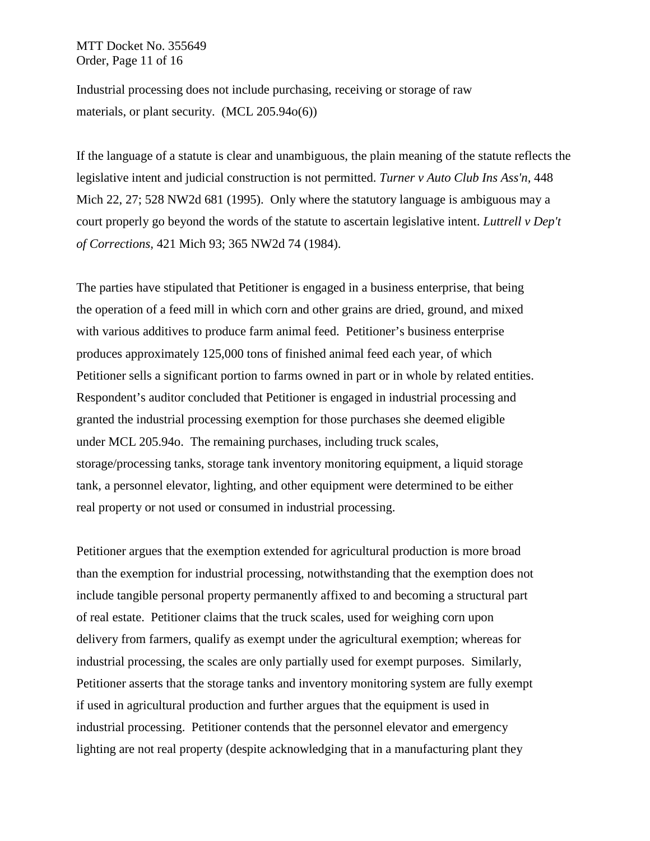MTT Docket No. 355649 Order, Page 11 of 16

Industrial processing does not include purchasing, receiving or storage of raw materials, or plant security. (MCL 205.94o(6))

If the language of a statute is clear and unambiguous, the plain meaning of the statute reflects the legislative intent and judicial construction is not permitted. *Turner v Auto Club Ins Ass'n,* 448 Mich 22, 27; 528 NW2d 681 (1995). Only where the statutory language is ambiguous may a court properly go beyond the words of the statute to ascertain legislative intent. *Luttrell v Dep't of Corrections,* 421 Mich 93; 365 NW2d 74 (1984).

The parties have stipulated that Petitioner is engaged in a business enterprise, that being the operation of a feed mill in which corn and other grains are dried, ground, and mixed with various additives to produce farm animal feed. Petitioner's business enterprise produces approximately 125,000 tons of finished animal feed each year, of which Petitioner sells a significant portion to farms owned in part or in whole by related entities. Respondent's auditor concluded that Petitioner is engaged in industrial processing and granted the industrial processing exemption for those purchases she deemed eligible under MCL 205.94o. The remaining purchases, including truck scales, storage/processing tanks, storage tank inventory monitoring equipment, a liquid storage tank, a personnel elevator, lighting, and other equipment were determined to be either real property or not used or consumed in industrial processing.

Petitioner argues that the exemption extended for agricultural production is more broad than the exemption for industrial processing, notwithstanding that the exemption does not include tangible personal property permanently affixed to and becoming a structural part of real estate. Petitioner claims that the truck scales, used for weighing corn upon delivery from farmers, qualify as exempt under the agricultural exemption; whereas for industrial processing, the scales are only partially used for exempt purposes. Similarly, Petitioner asserts that the storage tanks and inventory monitoring system are fully exempt if used in agricultural production and further argues that the equipment is used in industrial processing. Petitioner contends that the personnel elevator and emergency lighting are not real property (despite acknowledging that in a manufacturing plant they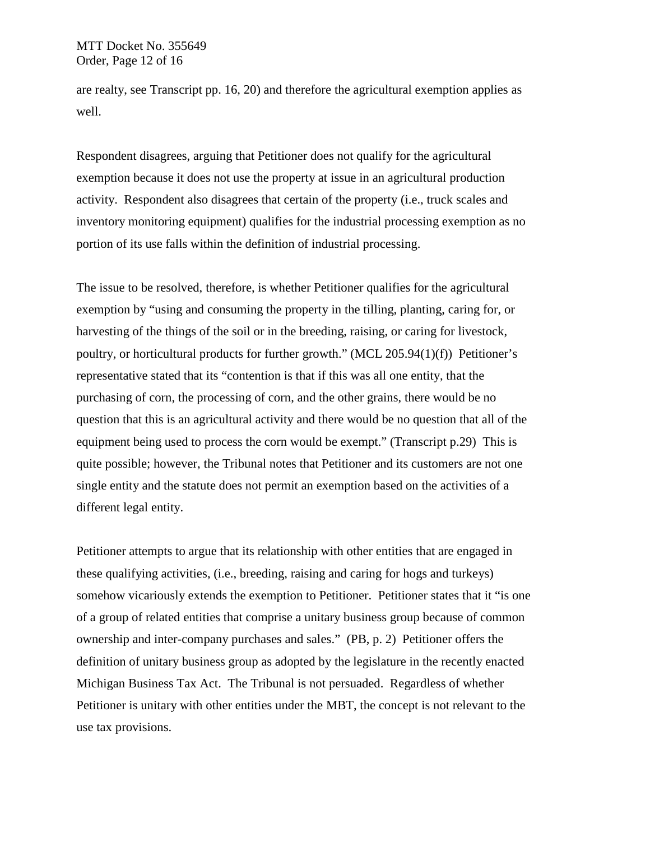are realty, see Transcript pp. 16, 20) and therefore the agricultural exemption applies as well.

Respondent disagrees, arguing that Petitioner does not qualify for the agricultural exemption because it does not use the property at issue in an agricultural production activity. Respondent also disagrees that certain of the property (i.e., truck scales and inventory monitoring equipment) qualifies for the industrial processing exemption as no portion of its use falls within the definition of industrial processing.

The issue to be resolved, therefore, is whether Petitioner qualifies for the agricultural exemption by "using and consuming the property in the tilling, planting, caring for, or harvesting of the things of the soil or in the breeding, raising, or caring for livestock, poultry, or horticultural products for further growth." (MCL 205.94(1)(f)) Petitioner's representative stated that its "contention is that if this was all one entity, that the purchasing of corn, the processing of corn, and the other grains, there would be no question that this is an agricultural activity and there would be no question that all of the equipment being used to process the corn would be exempt." (Transcript p.29) This is quite possible; however, the Tribunal notes that Petitioner and its customers are not one single entity and the statute does not permit an exemption based on the activities of a different legal entity.

Petitioner attempts to argue that its relationship with other entities that are engaged in these qualifying activities, (i.e., breeding, raising and caring for hogs and turkeys) somehow vicariously extends the exemption to Petitioner. Petitioner states that it "is one of a group of related entities that comprise a unitary business group because of common ownership and inter-company purchases and sales." (PB, p. 2) Petitioner offers the definition of unitary business group as adopted by the legislature in the recently enacted Michigan Business Tax Act. The Tribunal is not persuaded. Regardless of whether Petitioner is unitary with other entities under the MBT, the concept is not relevant to the use tax provisions.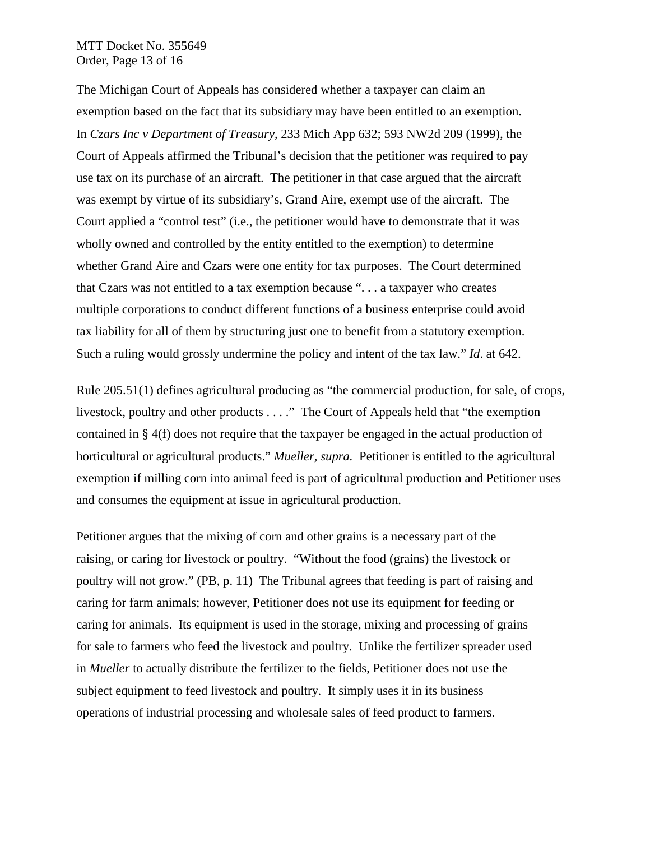#### MTT Docket No. 355649 Order, Page 13 of 16

The Michigan Court of Appeals has considered whether a taxpayer can claim an exemption based on the fact that its subsidiary may have been entitled to an exemption. In *Czars Inc v Department of Treasury*, 233 Mich App 632; 593 NW2d 209 (1999)*,* the Court of Appeals affirmed the Tribunal's decision that the petitioner was required to pay use tax on its purchase of an aircraft. The petitioner in that case argued that the aircraft was exempt by virtue of its subsidiary's, Grand Aire, exempt use of the aircraft. The Court applied a "control test" (i.e., the petitioner would have to demonstrate that it was wholly owned and controlled by the entity entitled to the exemption) to determine whether Grand Aire and Czars were one entity for tax purposes. The Court determined that Czars was not entitled to a tax exemption because ". . . a taxpayer who creates multiple corporations to conduct different functions of a business enterprise could avoid tax liability for all of them by structuring just one to benefit from a statutory exemption. Such a ruling would grossly undermine the policy and intent of the tax law." *Id*. at 642.

Rule 205.51(1) defines agricultural producing as "the commercial production, for sale, of crops, livestock, poultry and other products . . . ." The Court of Appeals held that "the exemption contained in § 4(f) does not require that the taxpayer be engaged in the actual production of horticultural or agricultural products." *Mueller, supra.* Petitioner is entitled to the agricultural exemption if milling corn into animal feed is part of agricultural production and Petitioner uses and consumes the equipment at issue in agricultural production.

Petitioner argues that the mixing of corn and other grains is a necessary part of the raising, or caring for livestock or poultry. "Without the food (grains) the livestock or poultry will not grow." (PB, p. 11) The Tribunal agrees that feeding is part of raising and caring for farm animals; however, Petitioner does not use its equipment for feeding or caring for animals. Its equipment is used in the storage, mixing and processing of grains for sale to farmers who feed the livestock and poultry. Unlike the fertilizer spreader used in *Mueller* to actually distribute the fertilizer to the fields, Petitioner does not use the subject equipment to feed livestock and poultry. It simply uses it in its business operations of industrial processing and wholesale sales of feed product to farmers.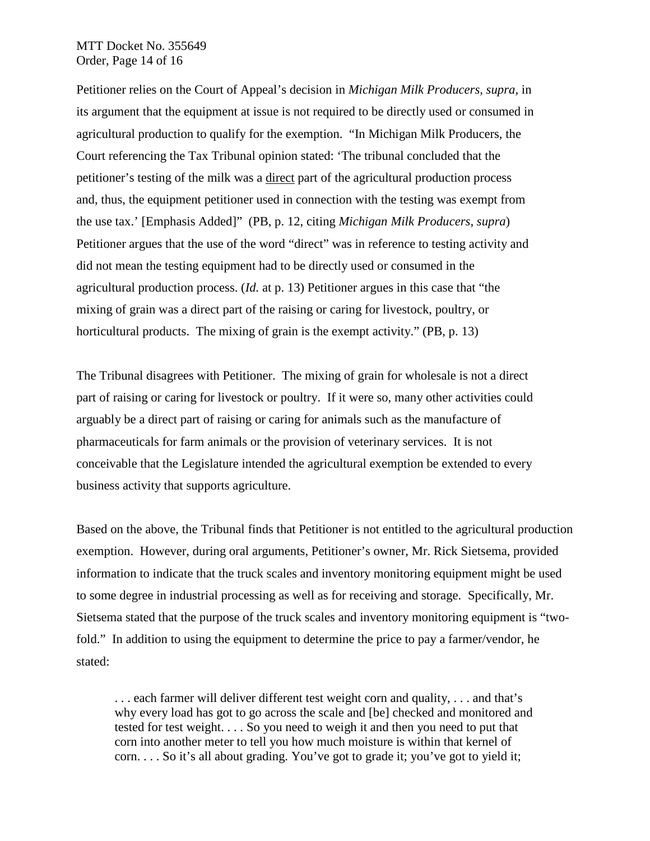## MTT Docket No. 355649 Order, Page 14 of 16

Petitioner relies on the Court of Appeal's decision in *Michigan Milk Producers, supra,* in its argument that the equipment at issue is not required to be directly used or consumed in agricultural production to qualify for the exemption. "In Michigan Milk Producers, the Court referencing the Tax Tribunal opinion stated: 'The tribunal concluded that the petitioner's testing of the milk was a direct part of the agricultural production process and, thus, the equipment petitioner used in connection with the testing was exempt from the use tax.' [Emphasis Added]" (PB, p. 12, citing *Michigan Milk Producers, supra*) Petitioner argues that the use of the word "direct" was in reference to testing activity and did not mean the testing equipment had to be directly used or consumed in the agricultural production process. (*Id.* at p. 13) Petitioner argues in this case that "the mixing of grain was a direct part of the raising or caring for livestock, poultry, or horticultural products. The mixing of grain is the exempt activity." (PB, p. 13)

The Tribunal disagrees with Petitioner. The mixing of grain for wholesale is not a direct part of raising or caring for livestock or poultry. If it were so, many other activities could arguably be a direct part of raising or caring for animals such as the manufacture of pharmaceuticals for farm animals or the provision of veterinary services. It is not conceivable that the Legislature intended the agricultural exemption be extended to every business activity that supports agriculture.

Based on the above, the Tribunal finds that Petitioner is not entitled to the agricultural production exemption. However, during oral arguments, Petitioner's owner, Mr. Rick Sietsema, provided information to indicate that the truck scales and inventory monitoring equipment might be used to some degree in industrial processing as well as for receiving and storage. Specifically, Mr. Sietsema stated that the purpose of the truck scales and inventory monitoring equipment is "twofold." In addition to using the equipment to determine the price to pay a farmer/vendor, he stated:

. . . each farmer will deliver different test weight corn and quality, . . . and that's why every load has got to go across the scale and [be] checked and monitored and tested for test weight. . . . So you need to weigh it and then you need to put that corn into another meter to tell you how much moisture is within that kernel of corn. . . . So it's all about grading. You've got to grade it; you've got to yield it;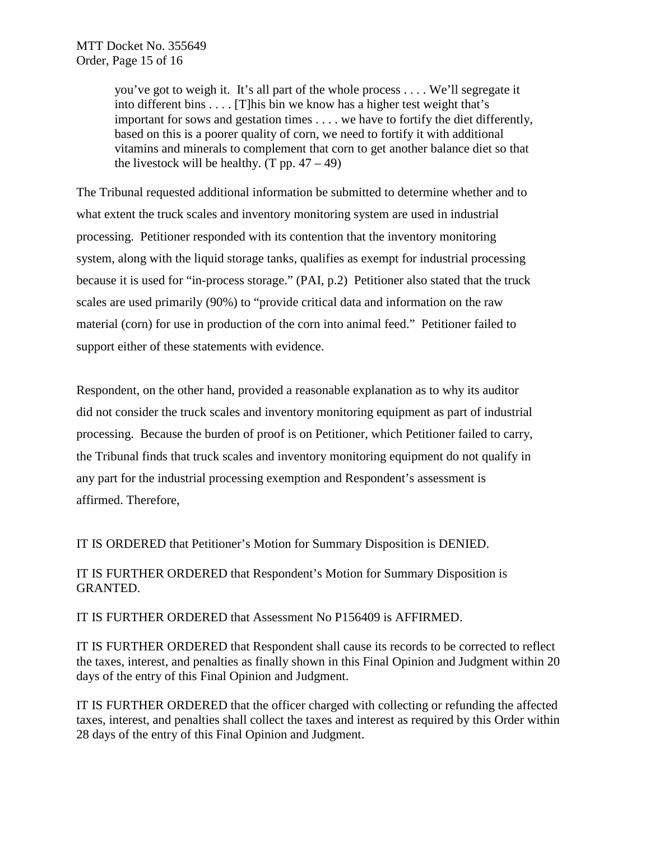you've got to weigh it. It's all part of the whole process . . . . We'll segregate it into different bins . . . . [T]his bin we know has a higher test weight that's important for sows and gestation times . . . . we have to fortify the diet differently, based on this is a poorer quality of corn, we need to fortify it with additional vitamins and minerals to complement that corn to get another balance diet so that the livestock will be healthy.  $(T pp. 47 – 49)$ 

The Tribunal requested additional information be submitted to determine whether and to what extent the truck scales and inventory monitoring system are used in industrial processing. Petitioner responded with its contention that the inventory monitoring system, along with the liquid storage tanks, qualifies as exempt for industrial processing because it is used for "in-process storage." (PAI, p.2) Petitioner also stated that the truck scales are used primarily (90%) to "provide critical data and information on the raw material (corn) for use in production of the corn into animal feed." Petitioner failed to support either of these statements with evidence.

Respondent, on the other hand, provided a reasonable explanation as to why its auditor did not consider the truck scales and inventory monitoring equipment as part of industrial processing. Because the burden of proof is on Petitioner, which Petitioner failed to carry, the Tribunal finds that truck scales and inventory monitoring equipment do not qualify in any part for the industrial processing exemption and Respondent's assessment is affirmed. Therefore,

IT IS ORDERED that Petitioner's Motion for Summary Disposition is DENIED.

IT IS FURTHER ORDERED that Respondent's Motion for Summary Disposition is GRANTED.

IT IS FURTHER ORDERED that Assessment No P156409 is AFFIRMED.

IT IS FURTHER ORDERED that Respondent shall cause its records to be corrected to reflect the taxes, interest, and penalties as finally shown in this Final Opinion and Judgment within 20 days of the entry of this Final Opinion and Judgment.

IT IS FURTHER ORDERED that the officer charged with collecting or refunding the affected taxes, interest, and penalties shall collect the taxes and interest as required by this Order within 28 days of the entry of this Final Opinion and Judgment.